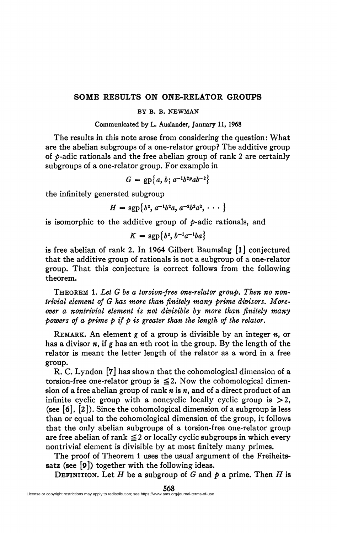## **SOME RESULTS ON ONE-RELATOR GROUPS**

## **BY B. B. NEWMAN**

**Communicated by L. Auslander, January 11, 1968** 

The results in this note arose from considering the question: What are the abelian subgroups of a one-relator group? The additive group of *p-adic* rationals and the free abelian group of rank 2 are certainly subgroups of a one-relator group. For example in

$$
G = gp{a, b; a^{-1}b^{2p}ab^{-2}}
$$

the infinitely generated subgroup

$$
H = \mathrm{sgp}\{b^2, a^{-1}b^2a, a^{-2}b^2a^2, \cdots \}
$$

is isomorphic to the additive group of *p-adic* rationals, and

$$
K=\mathrm{sgp}\left\{b^2,b^{-1}a^{-1}ba\right\}
$$

is free abelian of rank 2. In 1964 Gilbert Baumslag [l] conjectured that the additive group of rationals is not a subgroup of a one-relator group. That this conjecture is correct follows from the following theorem.

THEOREM 1. *Let G be a torsion-free one-relator group. Then no nontrivial element of G has more than finitely many prime divisors. Moreover a nontrivial element is not divisible by more than finitely many powers of a prime p if p is greater than the length of the relator.* 

REMARK. An element g of a group is divisible by an integer *n,* or has a divisor *ny* if *g* has an wth root in the group. By the length of the relator is meant the letter length of the relator as a word in a free group.

R. C. Lyndon [7] has shown that the cohomological dimension of a torsion-free one-relator group is  $\leq 2$ . Now the cohomological dimension of a free abelian group of rank *n* is *n,* and of a direct product of an infinite cyclic group with a noncyclic locally cyclic group is  $>2$ , (see **[6],** [2]). Since the cohomological dimension of a subgroup is less than or equal to the cohomological dimension of the group, it follows that the only abelian subgroups of a torsion-free one-relator group are free abelian of rank  $\leq 2$  or locally cyclic subgroups in which every nontrivial element is divisible by at most finitely many primes.

The proof of Theorem 1 uses the usual argument of the Freiheitssatz (see [9]) together with the following ideas.

DEFINITION. Let H be a subgroup of *G* and *p* a prime. Then *H* is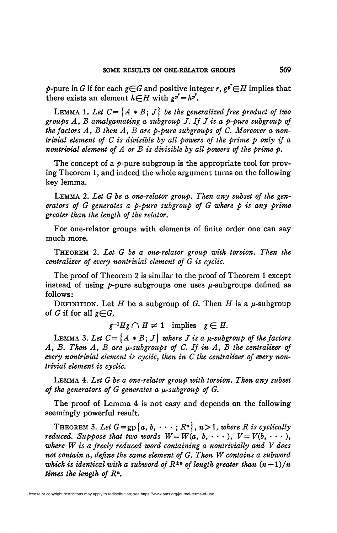*p*-pure in *G* if for each  $g{\in}G$  and positive integer *r*,  $g^{p^r}{\in}H$  implies that there exists an element  $h \in H$  with  $g^{p^r} = h^{p^r}$ .

**LEMMA 1.** Let  $C = \{A * B; J\}$  be the generalized free product of two *groups Ay B amalgamating a subgroup J. If J is a p-pure subgroup of the factors A, B then A, B are p-pure subgroups of C. Moreover a nontrivial element of C is divisible by all powers of the prime p only if a nontrivial element of A or B is divisible by all powers of the prime p.* 

The concept of a  $p$ -pure subgroup is the appropriate tool for proving Theorem 1, and indeed the whole argument turns on the following key lemma.

LEMMA *2. Let G be a one-relator group. Then any subset of the generators of G generates a p-pure subgroup of G where p is any prime greater than the length of the relator.* 

For one-relator groups with elements of finite order one can say much more.

THEOREM *2. Let G be a one-relator group with torsion. Then the centralizer of every nontrivial element of G is cyclic.* 

The proof of Theorem 2 is similar to the proof of Theorem 1 except instead of using  $p$ -pure subgroups one uses  $\mu$ -subgroups defined as follows:

DEFINITION. Let *H* be a subgroup of *G*. Then *H* is a  $\mu$ -subgroup of *G* if for all  $g \in G$ ,

 $g^{-1}Hg \cap H \neq 1$  implies  $g \in H$ .

LEMMA 3. Let  $C = \{A * B; J\}$  where *J* is a  $\mu$ -subgroup of the factors *A*, *B*. Then *A*, *B* are  $\mu$ -subgroups of *C*. If in *A*, *B* the centralizer of *every nontrivial element is cycliCy then in C the centralizer of every nontrivial element is cyclic.* 

LEMMA 4. *Let G be a one-relator group with torsion. Then any subset*  of the generators of G generates a  $\mu$ -subgroup of G.

The proof of Lemma 4 is not easy and depends on the following seemingly powerful result.

THEOREM 3. Let  $G = gp\{a, b, \dots; R^n\}$ ,  $n > 1$ , where R is cyclically *reduced. Suppose that two words*  $W = W(a, b, \cdots), V = V(b, \cdots),$ *where W is a freely reduced word containing a nontrivially and V does not contain* a, *define the same element of G. Then W contains a subword which is identical with a subword of*  $R^{\pm n}$  of length greater than  $(n-1)/n$ *times the length of R<sup>n</sup> .*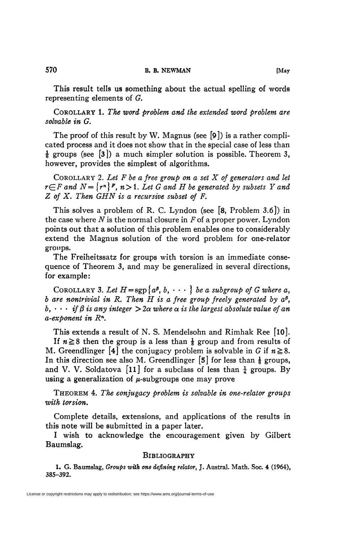This result tells us something about the actual spelling of words representing elements of *G.* 

COROLLARY 1. *The word problem and the extended word problem are solvable in G.* 

The proof of this result by W. Magnus (see [9]) is a rather complicated process and it does not show that in the special case of less than  $\frac{1}{6}$  groups (see [3]) a much simpler solution is possible. Theorem 3, however, provides the simplest of algorithms.

COROLLARY 2. *Let F be a free group on a set X of generators and let*   $r \in F$  and  $N = \{r^n\}$ <sup>F</sup>,  $n > 1$ . Let G and H be generated by subsets Y and *Z of X. Then GHN is a recursive subset of F.* 

This solves a problem of R. C. Lyndon (see [8, Problem 3.6]) in the case where *N* is the normal closure in *F* of a proper power. Lyndon points out that a solution of this problem enables one to considerably extend the Magnus solution of the word problem for one-relator groups.

The Freiheitssatz for groups with torsion is an immediate consequence of Theorem 3, and may be generalized in several directions, for example:

COROLLARY 3. Let  $H = sgp\{a^g, b, \cdots\}$  be a subgroup of G where a, *b* are nontrivial in R. Then  $\hat{H}$  is a free group freely generated by  $a^{\beta}$ ,  $b, \cdots$  if  $\beta$  is any integer  $>$  2 $\alpha$  where  $\alpha$  is the largest absolute value of an *a-exponent in R<sup>n</sup> .* 

This extends a result of N. S. Mendelsohn and Rimhak Ree [10]. If  $n \ge 8$  then the group is a less than  $\frac{1}{8}$  group and from results of M. Greendlinger [4] the conjugacy problem is solvable in G if  $n \ge 8$ . In this direction see also M. Greendlinger [5] for less than  $\frac{1}{6}$  groups, and V. V. Soldatova [11] for a subclass of less than  $\frac{1}{4}$  groups. By using a generalization of  $\mu$ -subgroups one may prove

THEOREM 4. *The eonfugacy problem is solvable in one-relator groups with torsion.* 

Complete details, extensions, and applications of the results in this note will be submitted in a paper later.

I wish to acknowledge the encouragement given by Gilbert Baumslag.

## **BIBLIOGRAPHY**

**1, G. Baumslag,** *Groups with one defining relator,* **J. Austral. Math. Soc. 4 (1964), 385-392.**